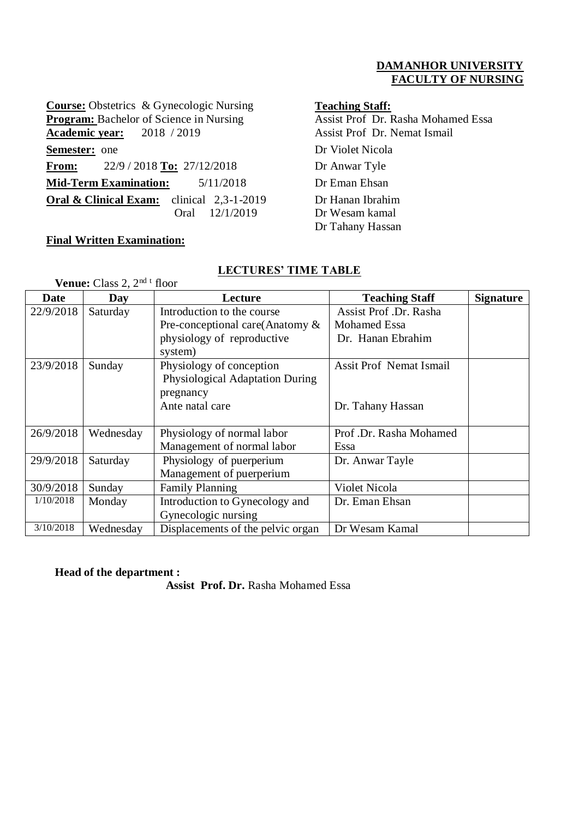## **DAMANHOR UNIVERSITY FACULTY OF NURSING**

**Course:** Obstetrics & Gynecologic Nursing<br> **Teaching Staff:**<br> **Program:** Bachelor of Science in Nursing<br>
Assist Prof Dr. Rasha Mohamed Essa **Program:** Bachelor of Science in Nursing Academic year: 2018 / 2019 Assist Prof Dr. Nemat Ismail **Semester:** one Dr Violet Nicola **From:** 22/9 / 2018 **To:** 27/12/2018 Dr Anwar Tyle **Mid-Term Examination:** 5/11/2018 Dr Eman Ehsan **Oral & Clinical Exam:** clinical 2,3-1-2019 Oral 12/1/2019

## **Final Written Examination:**

Dr Hanan Ibrahim Dr Wesam kamal Dr Tahany Hassan

| <b>Venue:</b> Class 2, $2^{nd}$ <sup>t</sup> floor |           |                                       |                                |                  |  |  |
|----------------------------------------------------|-----------|---------------------------------------|--------------------------------|------------------|--|--|
| Date                                               | Day       | Lecture                               | <b>Teaching Staff</b>          | <b>Signature</b> |  |  |
| 22/9/2018                                          | Saturday  | Introduction to the course            | Assist Prof. Dr. Rasha         |                  |  |  |
|                                                    |           | Pre-conceptional care (Anatomy $\&$   | Mohamed Essa                   |                  |  |  |
|                                                    |           | physiology of reproductive<br>system) | Dr. Hanan Ebrahim              |                  |  |  |
| 23/9/2018                                          | Sunday    | Physiology of conception              | <b>Assit Prof Nemat Ismail</b> |                  |  |  |
|                                                    |           | Physiological Adaptation During       |                                |                  |  |  |
|                                                    |           | pregnancy                             |                                |                  |  |  |
|                                                    |           | Ante natal care                       | Dr. Tahany Hassan              |                  |  |  |
|                                                    |           |                                       |                                |                  |  |  |
| 26/9/2018                                          | Wednesday | Physiology of normal labor            | Prof.Dr. Rasha Mohamed         |                  |  |  |
|                                                    |           | Management of normal labor            | Essa                           |                  |  |  |
| 29/9/2018                                          | Saturday  | Physiology of puerperium              | Dr. Anwar Tayle                |                  |  |  |
|                                                    |           | Management of puerperium              |                                |                  |  |  |
| 30/9/2018                                          | Sunday    | <b>Family Planning</b>                | Violet Nicola                  |                  |  |  |
| 1/10/2018                                          | Monday    | Introduction to Gynecology and        | Dr. Eman Ehsan                 |                  |  |  |
|                                                    |           | Gynecologic nursing                   |                                |                  |  |  |
| 3/10/2018                                          | Wednesday | Displacements of the pelvic organ     | Dr Wesam Kamal                 |                  |  |  |

## **LECTURES' TIME TABLE**

### **Head of the department :**

 **Assist Prof. Dr.** Rasha Mohamed Essa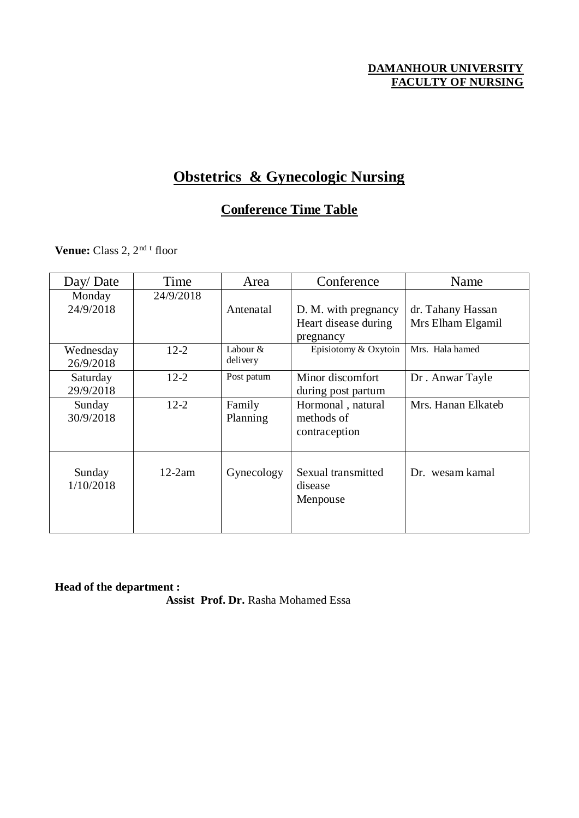## **DAMANHOUR UNIVERSITY FACULTY OF NURSING**

# **Obstetrics & Gynecologic Nursing**

## **Conference Time Table**

**Venue:** Class 2, 2<sup>nd t</sup> floor

| Day/Date  | Time      | Area       | Conference           | Name               |
|-----------|-----------|------------|----------------------|--------------------|
| Monday    | 24/9/2018 |            |                      |                    |
| 24/9/2018 |           | Antenatal  | D. M. with pregnancy | dr. Tahany Hassan  |
|           |           |            | Heart disease during | Mrs Elham Elgamil  |
|           |           |            | pregnancy            |                    |
| Wednesday | $12 - 2$  | Labour $&$ | Episiotomy & Oxytoin | Mrs. Hala hamed    |
| 26/9/2018 |           | delivery   |                      |                    |
| Saturday  | $12 - 2$  | Post patum | Minor discomfort     | Dr. Anwar Tayle    |
| 29/9/2018 |           |            | during post partum   |                    |
| Sunday    | $12 - 2$  | Family     | Hormonal, natural    | Mrs. Hanan Elkateb |
| 30/9/2018 |           | Planning   | methods of           |                    |
|           |           |            | contraception        |                    |
|           |           |            |                      |                    |
|           |           |            |                      |                    |
| Sunday    | $12-2am$  | Gynecology | Sexual transmitted   | Dr. wesam kamal    |
| 1/10/2018 |           |            | disease              |                    |
|           |           |            | Menpouse             |                    |
|           |           |            |                      |                    |
|           |           |            |                      |                    |

**Head of the department :** 

 **Assist Prof. Dr.** Rasha Mohamed Essa